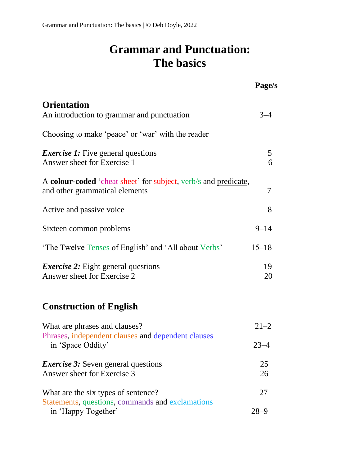## **Grammar and Punctuation: The basics**

|                                                                                                          | Page/s               |
|----------------------------------------------------------------------------------------------------------|----------------------|
| <b>Orientation</b><br>An introduction to grammar and punctuation                                         | $3 - 4$              |
| Choosing to make 'peace' or 'war' with the reader                                                        |                      |
| <i>Exercise 1:</i> Five general questions<br>Answer sheet for Exercise 1                                 | 5<br>6               |
| A colour-coded 'cheat sheet' for subject, verb/s and predicate,<br>and other grammatical elements        | 7                    |
| Active and passive voice                                                                                 | 8                    |
| Sixteen common problems                                                                                  | $9 - 14$             |
| 'The Twelve Tenses of English' and 'All about Verbs'                                                     | $15 - 18$            |
| <i>Exercise 2:</i> Eight general questions<br>Answer sheet for Exercise 2                                | 19<br>20             |
| <b>Construction of English</b>                                                                           |                      |
| What are phrases and clauses?<br>Phrases, independent clauses and dependent clauses<br>in 'Space Oddity' | $21 - 2$<br>$23 - 4$ |
| <i>Exercise 3:</i> Seven general questions<br>Answer sheet for Exercise 3                                | 25<br>26             |
| What are the six types of sentence?<br>Statements, questions, commands and exclamations                  | 27                   |
| in 'Happy Together'                                                                                      | $28 - 9$             |